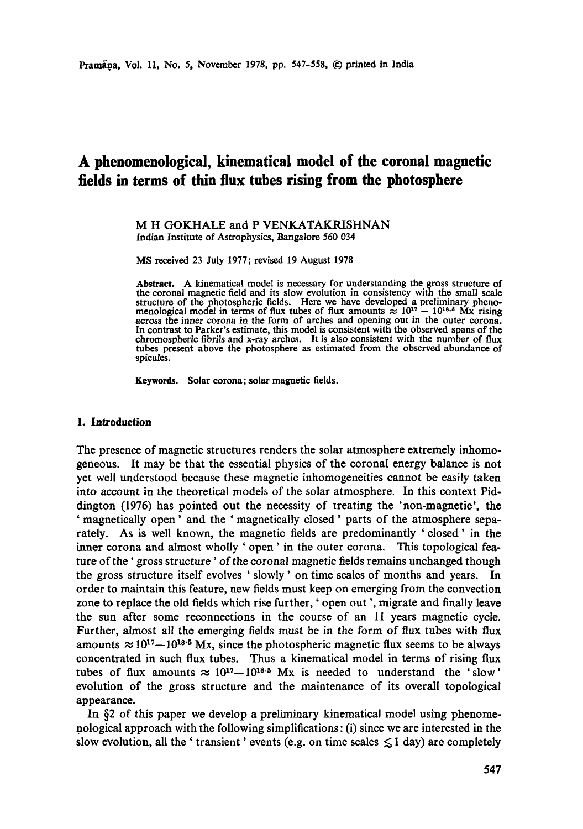# **A phenomenological, kinematical model of the coronal magnetic fields in terms of thin flux tubes rising from the photosphere**

M H GOKHALE and P VENKATAKRISHNAN Indian Institute of Astrophysics, Bangalore 560 034

MS received 23 July 1977; revised 19 August 1978

**Abstract.** A kinematical model is necessary for understanding the gross structure of the coronal magnetic field and its slow evolution in consistency with the small scale structure of the photospheric fields. Here we have developed a preliminary pheno-<br>menological model in terms of flux tubes of flux amounts  $\approx 10^{17} - 10^{18.6}$  Mx rising across the inner corona in the form of arches and opening out in the outer corona. In contrast to Parker's estimate, this model is consistent with the observed spans of **the**  chromospheric fibrils and x-ray arches. It is also consistent with the number of flux tubes present above the photosphere as estimated from the observed abundance of spicules.

**Keywords.** Solar corona;solar magnetic **fields.** 

## **1. Introduction**

The presence of magnetic structures renders the solar atmosphere extremely inhomogeneous. It may be that the essential physics of the coronal energy balance is not yet well understood because these magnetic inhomogeneities cannot be easily taken into account in the theoretical models of the solar atmosphere. In this context Piddington (1976) has pointed out the necessity of treating the 'non-magnetic', the 'magnetically open' and the 'magnetically closed' parts of the atmosphere separately. As is well known, the magnetic fields are predominantly 'closed' in the inner corona and almost wholly ' open' in the outer corona. This topological feature of the 'gross structure' of the coronal magnetic fields remains unchanged though the gross structure itself evolves ' slowly' on time scales of months and years. In order to maintain this feature, new fields must keep on emerging from the convection zone to replace the old fields which rise further, ' open out ', migrate and finally leave the sun after some reconnections in the course of an II years magnetic cycle. Further, almost all the emerging fields must be in the form of flux tubes with flux amounts  $\approx 10^{17}-10^{18.5}$  Mx, since the photospheric magnetic flux seems to be always concentrated in such flux tubes. Thus a kinematical model in terms of rising flux tubes of flux amounts  $\approx 10^{17}-10^{18.5}$  Mx is needed to understand the 'slow' evolution of the gross structure and the maintenance of its overall topological appearance.

In §2 of this paper we develop a preliminary kinematical model using phenomenological approach with the following simplifications: (i) since we are interested in the slow evolution, all the 'transient' events (e.g. on time scales  $\leq 1$  day) are completely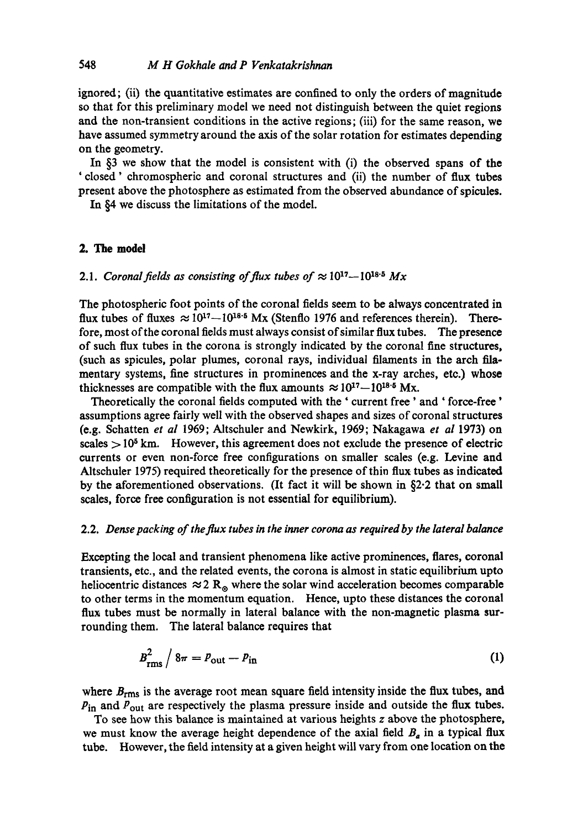ignored; (ii) the quantitative estimates are confined to only the orders of magnitude so that for this preliminary model we need not distinguish between the quiet regions and the non-transient conditions in the active regions; (iii) for the same reason, we have assumed symmetry around the axis of the solar rotation for estimates depending on the geometry.

In §3 we show that the model is consistent with (i) the observed spans of the ' closed' chromospheric and coronal structures and (ii) the number of flux tubes present above the photosphere as estimated from the observed abundance of spicules.

In §4 we discuss the limitations of the model.

# **2. The model**

# 2.1. *Coronal fields as consisting of flux tubes of*  $\approx 10^{17} - 10^{18.5}$  *Mx*

The photospheric foot points of the coronal fields seem to be always concentrated in flux tubes of fluxes  $\approx 10^{17} - 10^{18.5}$  Mx (Stenflo 1976 and references therein). Therefore, most of the coronal fields must always consist of similar flux tubes. The presence of such flux tubes in the corona is strongly indicated by the coronal fine structures, (such as spicules, polar plumes, coronal rays, individual filaments in the arch filamentary systems, fine structures in prominences and the x-ray arches, etc.) whose thicknesses are compatible with the flux amounts  $\approx 10^{17}-10^{18.5}$  Mx.

Theoretically the coronal fields computed with the ' current free' and ' force-free' assumptions agree fairly well with the observed shapes and sizes of coronal structures (e.g. Schatten *et al* 1969; Altschuler and Newkirk, 1969; Nakagawa *et al* 1973) on scales  $> 10<sup>5</sup>$  km. However, this agreement does not exclude the presence of electric currents or even non-force free configurations on smaller scales (e.g. Levine and Altschuler 1975) required theoretically for the presence of thin flux tubes as indicated by the aforementioned observations. (It fact it will be shown in §2.2 that on small scales, force free configuration is not essential for equilibrium).

# 2.2. *Dense packing of the flux tubes in the inner corona as required by the lateral balance*

Excepting the local and transient phenomena like active prominences, flares, coronal transients, etc., and the related events, the corona is almost in static equilibrium upto heliocentric distances  $\approx$  2 R<sub>®</sub> where the solar wind acceleration becomes comparable to other terms in the momentum equation. Hence, upto these distances the coronal flux tubes must be normally in lateral balance with the non-magnetic plasma surrounding them. The lateral balance requires that

$$
B_{\rm rms}^2 / 8\pi = P_{\rm out} - P_{\rm in}
$$
 (1)

where  $B_{\rm rms}$  is the average root mean square field intensity inside the flux tubes, and  $P_{\text{in}}$  and  $P_{\text{out}}$  are respectively the plasma pressure inside and outside the flux tubes.

To see how this balance is maintained at various heights z above the photosphere, we must know the average height dependence of the axial field  $B<sub>a</sub>$  in a typical flux tube. However, the field intensity at a given height will vary from one location on the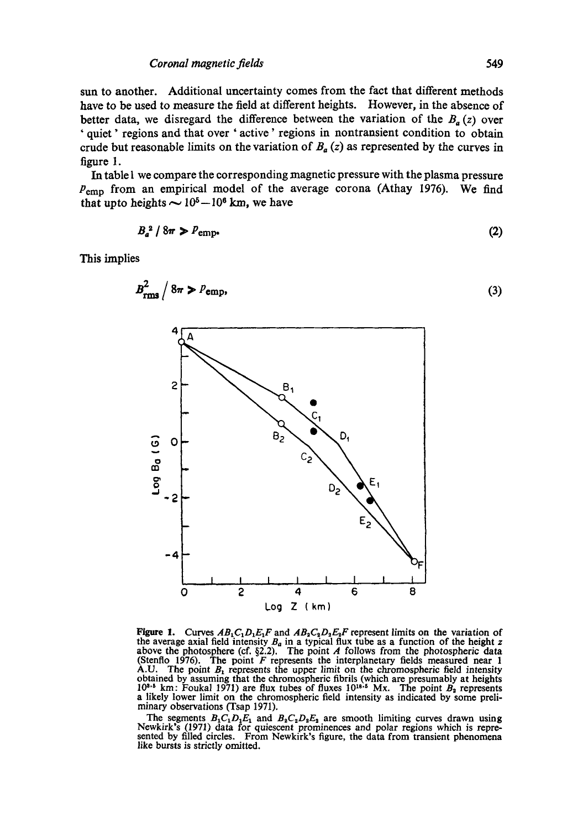sun to another. Additional uncertainty comes from the fact that different methods have to be used to measure the field at different heights. However, in the absence of better data, we disregard the difference between the variation of the  $B<sub>a</sub>(z)$  over ' quiet' regions and that over ' active' regions in nontransient condition to obtain crude but reasonable limits on the variation of  $B_a(z)$  as represented by the curves in figure I.

In table I we compare the corresponding magnetic pressure with the plasma pressure  $P_{\text{emp}}$  from an empirical model of the average corona (Athay 1976). We find that upto heights  $\sim 10^5-10^6$  km, we have

$$
B_a^2 / 8\pi \ge P_{\text{emp}}.\tag{2}
$$

This implies



Figure 1. Curves  $AB_1C_1D_1E_1F$  and  $AB_2C_2D_2E_2F$  represent limits on the variation of the average axial field intensity  $B_a$  in a typical flux tube as a function of the height z above the photosphere (cf. §2.2). The point A follows from the photospheric data (Stenflo 1976). The point F represents the inter A.U. The point  $B_1$  represents the upper limit on the chromospheric field intensity obtained by assuming that the chromospheric fibrils (which are presumably at heights  $10^{3.5}$  km: Foukal 1971) are flux tubes of fluxes  $10^{18.5}$  Mx. The point  $B_2$  represents a likely lower limit on the chromospheric field intensity as indicated by some preliminary observations (Tsap 1971).

The segments  $B_1C_1D_1E_1$  and  $B_2C_2D_2E_2$  are smooth limiting curves drawn using Newkirk's (1971) data for quiescent prominences and polar regions which is represented by filled circles. From Newkirk's figure, the data from transient phenomena like bursts is strictly omitted.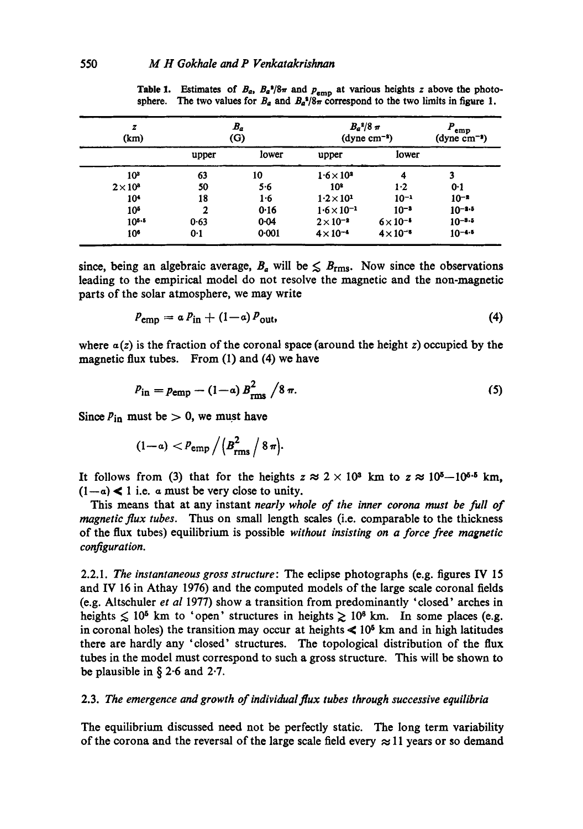| z<br>(km)       | $B_a$<br>(G) |          | $B_a^2/8\pi$<br>$(dyne cm-s)$ |                    | P<br>emp<br>$(dyne cm^{-3})$ |
|-----------------|--------------|----------|-------------------------------|--------------------|------------------------------|
|                 | upper        | lower    | upper                         | lower              |                              |
| 10 <sup>3</sup> | 63           | 10       | $1.6 \times 10^{3}$           | 4                  | 3                            |
| $2 \times 10^8$ | 50           | 5.6      | 10 <sup>3</sup>               | 1·2                | 0.1                          |
| 104             | 18           | 1·6      | $1.2 \times 10^1$             | $10^{-1}$          | $10^{-5}$                    |
| 10 <sup>5</sup> | 2            | 0.16     | $1.6 \times 10^{-1}$          | $10^{-3}$          | $10 - 1.5$                   |
| $10^{5.5}$      | 0.63         | $0 - 04$ | $2 \times 10^{-2}$            | $6 \times 10^{-5}$ | $10^{-8.5}$                  |
| 10*             | 0.1          | 0.001    | $4 \times 10^{-4}$            | $4 \times 10^{-6}$ | $10 - 4.5$                   |

**Table 1.** Estimates of  $B_a$ ,  $B_a$ <sup>3</sup>/8 $\pi$  and  $p_{emp}$  at various heights z above the photosphere. The two values for  $B_a$  and  $B_a^2/8\pi$  correspond to the two limits in figure 1.

since, being an algebraic average,  $B_a$  will be  $\leq B_{\rm rms}$ . Now since the observations leading to the empirical model do not resolve the magnetic and the non-magnetic parts of the solar atmosphere, we may write

$$
P_{\rm emp} = a P_{\rm in} + (1 - a) P_{\rm out},\tag{4}
$$

where  $a(z)$  is the fraction of the coronal space (around the height z) occupied by the magnetic flux tubes. From (1) and (4) we have

$$
P_{\rm in} = p_{\rm emp} - (1 - a) B_{\rm rms}^2 / 8 \pi.
$$
 (5)

Since  $P_{in}$  must be  $> 0$ , we must have

$$
(1-a) < P_{\rm emp} / \left(B_{\rm rms}^2 / 8 \pi\right).
$$

It follows from (3) that for the heights  $z \approx 2 \times 10^8$  km to  $z \approx 10^{5} - 10^{5.5}$  km,  $(1-a)$  < 1 i.e. a must be very close to unity.

This means that at any instant *nearly whole of the inner corona must be full of magnetie flux tubes.* Thus on small length scales (i.e. comparable to the thickness of the flux tubes) equilibrium is possible *without insisting on a force free magnetic configuration.* 

2.2.1. *The instantaneous gross structure: The* eclipse photographs (e.g. figures IV 15 and IV 16 in Athay 1976) and the computed models of the large scale coronal fields (e.g. Altschuler *et al* 1977) show a transition from predominantly 'dosed' arches in heights  $\leq 10^5$  km to 'open' structures in heights  $\geq 10^6$  km. In some places (e.g. in coronal holes) the transition may occur at heights  $\leq 10^5$  km and in high latitudes there are hardly any 'closed' structures. The topological distribution of the flux tubes in the model must correspond to such a gross structure. This will be shown to be plausible in § 2.6 and 2.7.

#### 2.3. *The emergence and growth of individual flux tubes through successive equilibria*

The equilibrium discussed need not be perfectly static. The long term variability of the corona and the reversal of the large scale field every  $\approx$  11 years or so demand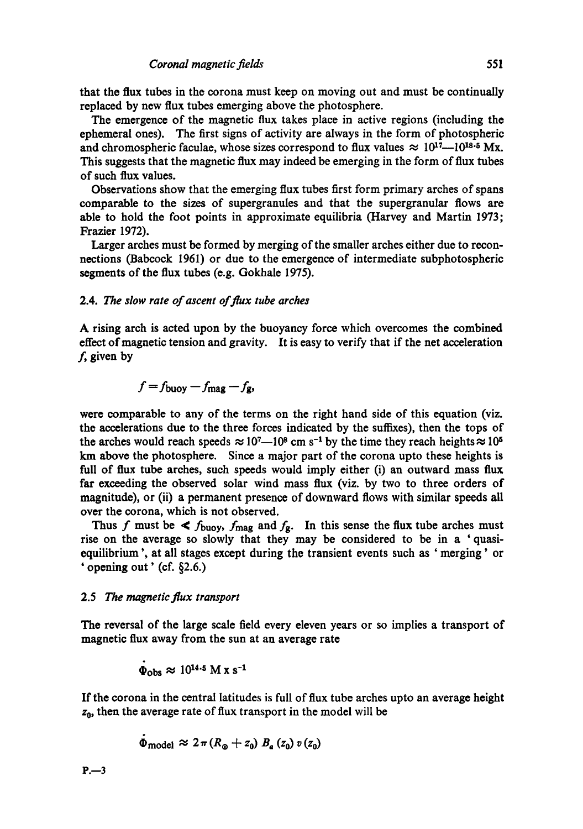#### *Coronal magnetic fields* 551

that the flux tubes in the corona must keep on moving out and must be continually replaced by new flux tubes emerging above the photosphere.

The emergence of the magnetic flux takes place in active regions (including the ephemeral ones). The first signs of activity are always in the form of photospheric and chromospheric faculae, whose sizes correspond to flux values  $\approx 10^{17} - 10^{18}$  Mx. This suggests that the magnetic flux may indeed be emerging in the form of flux tubes of such flux values.

Observations show that the emerging flux tubes first form primary arches of spans comparable to the sizes of supergranules and that the supergranular flows are able to hold the foot points in approximate equilibria (Harvey and Martin 1973; Frazier 1972).

Larger arches must be formed by merging of the smaller arches either due to reeonnections (Babcock 1961) or due to the emergence of intermediate subphotospheric segments of the flux tubes (e.g. Gokhale 1975).

# 2.4. *The slow rate of ascent of flux tube arches*

A rising arch is acted upon by the buoyancy force which overcomes the combined effect of magnetic tension and gravity. It is easy to verify that if the net acceleration  $f$ , given by

$$
f = f_{\text{buoy}} - f_{\text{mag}} - f_{\text{g}},
$$

were comparable to any of the terms on the right hand side of this equation (viz. the accelerations due to the three forces indicated by the suffixes), then the tops of the arches would reach speeds  $\approx 10^{7} - 10^{8}$  cm s<sup>-1</sup> by the time they reach heights  $\approx 10^{5}$ km above the photosphere. Since a major part of the corona upto these heights is full of flux tube arches, such speeds would imply either (i) an outward mass flux far exceeding the observed solar wind mass flux (viz. by two to three orders of magnitude), or (ii) a permanent presence of downward flows with similar speeds all over the corona, which is not observed.

Thus f must be  $\leq f_{\text{buoy}}, f_{\text{mag}}$  and  $f_{\text{g}}$ . In this sense the flux tube arches must rise on the average so slowly that they may be considered to be in a 'quasiequilibrium ', at all stages except during the transient events such as ' merging' or • opening out' (cf. §2.6.)

#### 2.5 *The magnetic flux transport*

 $\ddot{\phantom{0}}$ 

The reversal of the large scale field every eleven years or so implies a transport of magnetic flux away from the sun at an average rate

$$
\Phi_{\rm obs} \approx 10^{14.5} \rm \ M \ x \ s^{-1}
$$

If the corona in the central latitudes is full of flux tube arches upto an average height  $z_0$ , then the average rate of flux transport in the model will be

$$
\Phi_{\text{model}} \approx 2\pi (R_{\odot} + z_0) B_a(z_0) v(z_0)
$$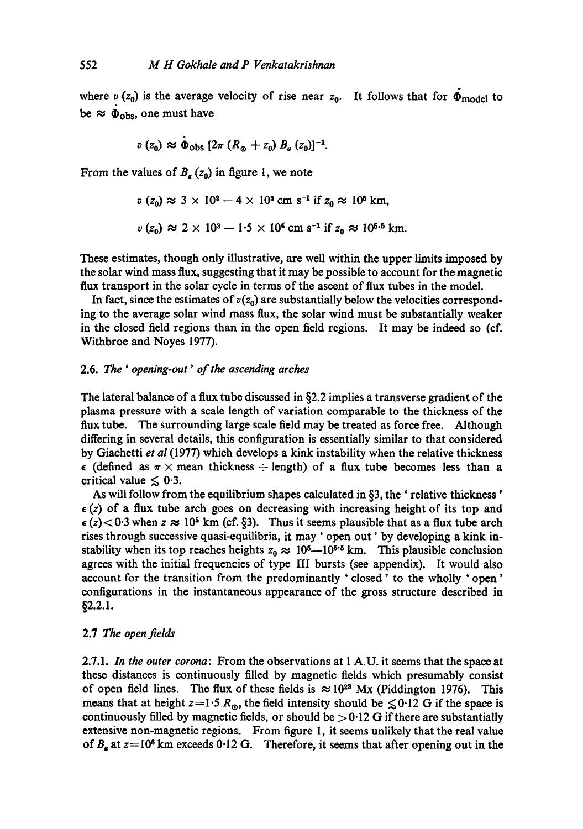where  $v(z_0)$  is the average velocity of rise near  $z_0$ . It follows that for  $\Phi_{\text{model}}$  to be  $\approx \Phi_{\rm obs}$ , one must have

$$
v(z_0) \approx \Phi_{\text{obs}} [2\pi (R_{\odot} + z_0) B_a(z_0)]^{-1}.
$$

From the values of  $B_a(z_0)$  in figure 1, we note

$$
v(z_0) \approx 3 \times 10^2 - 4 \times 10^3
$$
 cm s<sup>-1</sup> if  $z_0 \approx 10^5$  km,

$$
v(z_0) \approx 2 \times 10^3 - 1.5 \times 10^4
$$
 cm s<sup>-1</sup> if  $z_0 \approx 10^{5.5}$  km.

These estimates, though only illustrative, are well within the upper limits imposed by the solar wind mass flux, suggesting that it may be possible to account for the magnetic flux transport in the solar cycle in terms of the ascent of flux tubes in the model.

In fact, since the estimates of  $v(z_0)$  are substantially below the velocities corresponding to the average solar wind mass flux, the solar wind must be substantially weaker in the closed field regions than in the open field regions. It may be indeed so (cf. Withbroe and Noyes 1977).

# 2.6. *The ' opening-out' of the ascending arches*

The lateral balance of a flux tube discussed in §2.2 implies a transverse gradient of the plasma pressure with a scale length of variation comparable to the thickness of the flux tube. The surrounding large scale field may be treated as force free. Although differing in several details, this configuration is essentially similar to that considered by Giachetti *et al* (1977) which develops a kink instability when the relative thickness  $\epsilon$  (defined as  $\pi \times$  mean thickness  $\div$  length) of a flux tube becomes less than a critical value  $\leq 0.3$ .

As will follow from the equilibrium shapes calculated in §3, the' relative thickness'  $\epsilon$ (z) of a flux tube arch goes on decreasing with increasing height of its top and  $\epsilon$  (z) < 0.3 when z  $\approx 10^5$  km (cf. §3). Thus it seems plausible that as a flux tube arch rises through successive quasi-equilibria, it may ' open out' by developing a kink instability when its top reaches heights  $z_0 \approx 10^{5} - 10^{5.6}$  km. This plausible conclusion agrees with the initial frequencies of type III bursts (see appendix). It would also account for the transition from the predominantly ' closed ' to the wholly ' open ' configurations in the instantaneous appearance of the gross structure described in §2.2.1.

# 2.7 *The open fields*

2.7.1. *In the outer corona:* From the observations at 1 A.U. it seems that the space at these distances is continuously filled by magnetic fields which presumably consist of open field lines. The flux of these fields is  $\approx 10^{23}$  Mx (Piddington 1976). This means that at height  $z=1.5 R_{\odot}$ , the field intensity should be  $\leq 0.12$  G if the space is continuously filled by magnetic fields, or should be  $>0.12$  G if there are substantially extensive non-magnetic regions. From figure I, it seems unlikely that the real value of  $B_a$  at  $z=10^6$  km exceeds 0.12 G. Therefore, it seems that after opening out in the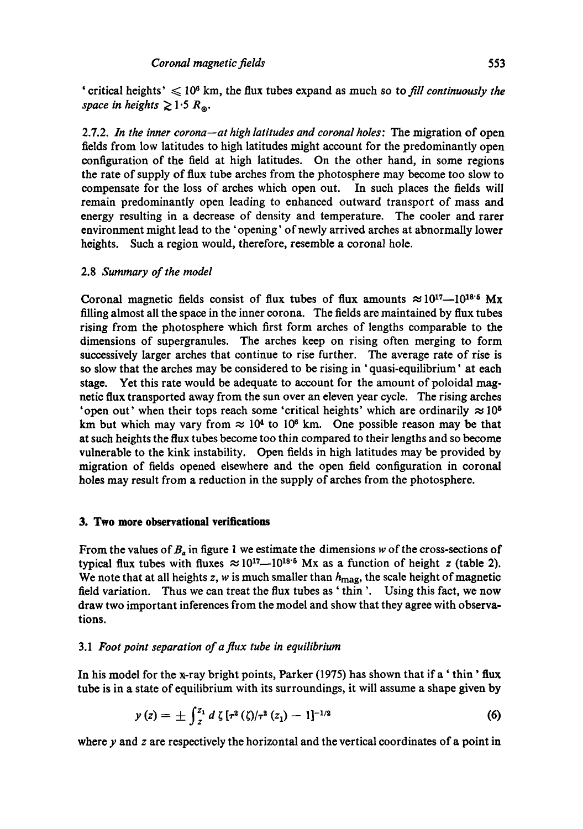2.7.2. *In the inner corona--at high latitudes and coronal holes:* The migration of open fields from low latitudes to high latitudes might account for the predominantly open configuration of the field at high latitudes. On the other hand, in some regions the rate of supply of flux tube arches from the photosphere may become too slow to compensate for the loss of arches which open out. In such places the fields will remain predominantly open leading to enhanced outward transport of mass and energy resulting in a decrease of density and temperature. The cooler and rarer environment might lead to the 'opening' of newly arrived arches at abnormally lower heights. Such a region would, therefore, resemble a coronal hole.

# 2.8 *Summary of the model*

*space in heights*  $\geq 1.5 R_{\odot}$ .

Coronal magnetic fields consist of flux tubes of flux amounts  $\approx 10^{17} - 10^{18}$ <sup>5</sup> Mx filling almost all the space in the inner corona. The fields are maintained by flux tubes rising from the photosphere which first form arches of lengths comparable to the dimensions of supergranules. The arches keep on rising often merging to form successively larger arches that continue to rise further. The average rate of rise is **so** slow that the arches may be considered to be rising in ' quasi-equilibrium' at each stage. Yet this rate would be adequate to account for the amount of poloidal magnetic flux transported away from the sun over an eleven year cycle. The rising arches 'open out' when their tops reach some 'critical heights' which are ordinarily  $\approx 10^5$ km but which may vary from  $\approx 10^4$  to 10<sup>6</sup> km. One possible reason may be that at such heights the flux tubes become too thin compared to their lengths and so become vulnerable to the kink instability. Open fields in high latitudes may be provided by migration of fields opened elsewhere and the open field configuration in coronal holes may result from a reduction in the supply of arches from the photosphere.

# **3. Two more observational verifications**

From the values of  $B_a$  in figure 1 we estimate the dimensions w of the cross-sections of typical flux tubes with fluxes  $\approx 10^{17} - 10^{18.5}$  Mx as a function of height z (table 2). We note that at all heights z, w is much smaller than  $h_{\text{max}}$ , the scale height of magnetic field variation. Thus we can treat the flux tubes as ' thin '. Using this fact, we **now draw** two important inferences from the model and show that they agree with observations.

# 3.1 *Foot point separation of a flux tube in equilibrium*

In his model for the x-ray bright points, Parker (1975) has shown that if a' thin' flux tube is in a state of equilibrium with its surroundings, it will assume a shape given by

$$
y(z) = \pm \int_{z}^{z_{1}} d \zeta \left[ \tau^{2} (\zeta) / \tau^{2} (z_{1}) - 1 \right]^{-1/2}
$$
 (6)

where  $y$  and  $z$  are respectively the horizontal and the vertical coordinates of a point in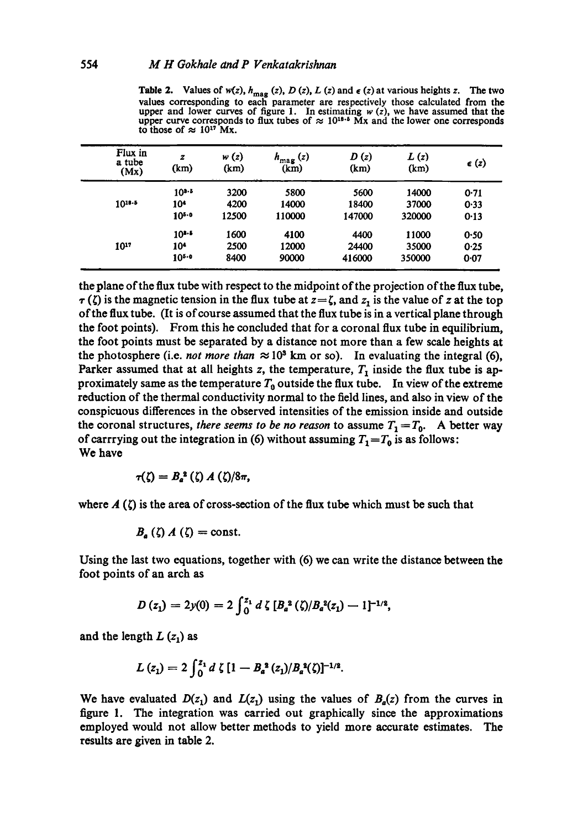| Flux in<br>a tube<br>(Mx) | z<br>(km)       | w(z)<br>(km) | $h_{\text{mag}}(z)$<br>(km) | D(z)<br>(km) | L(z)<br>(km) | $\epsilon$ (z) |
|---------------------------|-----------------|--------------|-----------------------------|--------------|--------------|----------------|
|                           | $10^{3.5}$      | 3200         | 5800                        | 5600         | 14000        | 0.71           |
| $10^{18.5}$               | 10 <sup>4</sup> | 4200         | 14000                       | 18400        | 37000        | 0.33           |
|                           | $10^{5.0}$      | 12500        | 110000                      | 147000       | 320000       | 0.13           |
|                           | $10^{3.5}$      | 1600         | 4100                        | 4400         | 11000        | 0.50           |
| 1017                      | 10 <sup>4</sup> | 2500         | 12000                       | 24400        | 35000        | 0.25           |
|                           | $10^{5.0}$      | 8400         | 90000                       | 416000       | 350000       | 0.07           |

**Table 2.** Values of  $w(z)$ ,  $h_{\text{mag}}(z)$ , D (z), L (z) and  $\epsilon$  (z) at various heights z. The two values corresponding to each parameter are respectively those calculated from the upper and lower curves of figure 1. In estimating  $w(z)$ , we have assumed that the upper curve corresponds to flux tubes of  $\approx 10^{18.5}$  Mx to those of  $\approx 10^{17}$  Mx.

the plane of the flux tube with respect to the midpoint of the projection of the flux tube,  $\tau(\zeta)$  is the magnetic tension in the flux tube at  $z=\zeta$ , and  $z_1$  is the value of z at the top ofthe flux tube. (It is of course assumed that the flux tube is in a vertical plane through the foot points). From this he concluded that for a coronal flux tube in equilibrium, the foot points must be separated by a distance not more than a few scale heights at the photosphere (i.e. *not more than*  $\approx 10^3$  km or so). In evaluating the integral (6), Parker assumed that at all heights z, the temperature,  $T_1$  inside the flux tube is approximately same as the temperature  $T_0$  outside the flux tube. In view of the extreme reduction of the thermal conductivity normal to the field lines, and also in view of the conspicuous differences in the observed intensities of the emission inside and outside the coronal structures, *there seems to be no reason* to assume  $T_1 = T_0$ . A better way of carrrying out the integration in (6) without assuming  $T_1=T_0$  is as follows: We have

$$
\tau(\zeta)=B_a^{\;a}\left(\zeta\right)A\left(\zeta\right)/8\pi,
$$

where  $A(\zeta)$  is the area of cross-section of the flux tube which must be such that

$$
B_{a}(\zeta) A(\zeta) = \text{const.}
$$

Using the last two equations, together with (6) we can write the distance between the foot points of an arch as

$$
D(z_1) = 2y(0) = 2\int_0^{z_1} d\zeta \, [B_a^{\,2}(\zeta)/B_a^{\,2}(z_1) - 1]^{-1/2},
$$

and the length  $L(z_1)$  as

$$
L(z_1) = 2 \int_0^{z_1} d \zeta [1 - B_a^{2}(z_1)/B_a^{2}(\zeta)]^{-1/2}.
$$

We have evaluated  $D(z_1)$  and  $L(z_1)$  using the values of  $B_q(z)$  from the curves in figure 1. The integration was carried out graphically since the approximations employed would not allow better methods to yield more accurate estimates. The results are given in table **2.**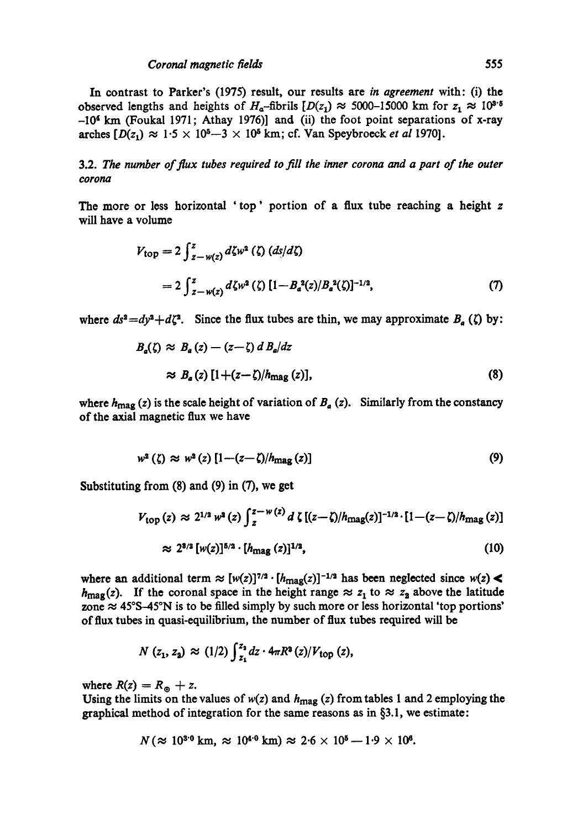In contrast to Parker's (1975) result, our results are *in agreement* with: (i) the observed lengths and heights of  $H_a$ -fibrils  $[D(z_1) \approx 5000$ -15000 km for  $z_1 \approx 10^{3.5}$  $-10<sup>4</sup>$  km (Foukal 1971; Athay 1976)] and (ii) the foot point separations of x-ray arches  $[D(z_1) \approx 1.5 \times 10^5 - 3 \times 10^5$  km; cf. Van Speybroeck *et al* 1970].

3.2. *The number of flux tubes required to fill the inner corona and a part of the outer corona* 

The more or less horizontal 'top' portion of a flux tube reaching a height z will have a volume

$$
V_{\text{top}} = 2 \int_{z-w(z)}^{z} d\zeta w^{2} (\zeta) (ds/d\zeta)
$$
  
=  $2 \int_{z-w(z)}^{z} d\zeta w^{2} (\zeta) [1 - B_{a}^{2}(z)/B_{a}^{2}(\zeta)]^{-1/2},$  (7)

where  $ds^2 = dy^2 + d\zeta^2$ . Since the flux tubes are thin, we may approximate  $B_a(\zeta)$  by:

$$
B_a(\zeta) \approx B_a(z) - (z - \zeta) d B_a/dz
$$
  
\n
$$
\approx B_a(z) [1 + (z - \zeta)/h_{\text{mag}}(z)],
$$
\n(8)

where  $h_{\text{mag}}(z)$  is the scale height of variation of  $B_a(z)$ . Similarly from the constancy of the axial magnetic flux we have

$$
w^2 \left( \zeta \right) \approx w^2 \left( z \right) \left[ 1 - \left( z - \zeta \right) / h_{\text{mag}} \left( z \right) \right] \tag{9}
$$

Substituting from (8) and (9) in (7), we get

$$
V_{\text{top}}(z) \approx 2^{1/2} \, w^2(z) \int_z^{z-w(z)} d\zeta \left[ (z-\zeta)/h_{\text{mag}}(z) \right]^{-1/2} \cdot \left[ 1 - (z-\zeta)/h_{\text{mag}}(z) \right]
$$
\n
$$
\approx 2^{3/2} \left[ w(z) \right]^{5/2} \cdot \left[ h_{\text{mag}}(z) \right]^{1/3},\tag{10}
$$

where an additional term  $\approx [w(z)]^{7/2} \cdot [h_{\text{mag}}(z)]^{-1/2}$  has been neglected since  $w(z)$  $h_{\text{mag}}(z)$ . If the coronal space in the height range  $\approx z_1$  to  $\approx z_2$  above the latitude zone  $\approx$  45°S-45°N is to be filled simply by such more or less horizontal 'top portions' of flux tubes in quasi-equilibrium, the number of flux tubes required will be

$$
N(z_1, z_2) \approx (1/2) \int_{z_1}^{z_2} dz \cdot 4\pi R^2(z) / V_{\text{top}}(z),
$$

where  $R(z) = R_{\odot} + z$ .

Using the limits on the values of  $w(z)$  and  $h_{\text{mag}}(z)$  from tables 1 and 2 employing the graphical method of integration for the same reasons as in §3.1, we estimate:

$$
N (\approx 10^{3.0} \text{ km}, \approx 10^{4.0} \text{ km}) \approx 2.6 \times 10^{5} - 1.9 \times 10^{6}.
$$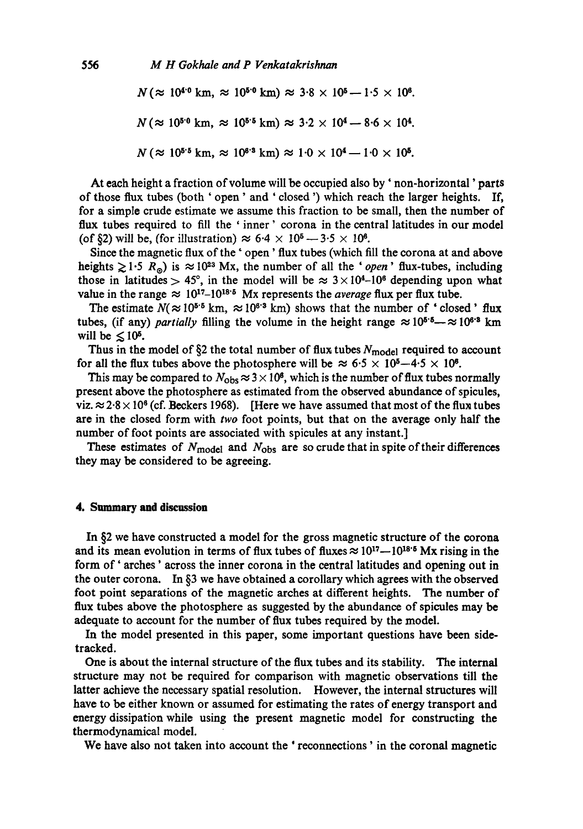$N (\approx 10^{4.0} \text{ km}, \approx 10^{5.0} \text{ km}) \approx 3.8 \times 10^{5} - 1.5 \times 10^{6}$ .  $N (\approx 10^{5.0} \text{ km}, \approx 10^{5.5} \text{ km}) \approx 3.2 \times 10^4 - 8.6 \times 10^4.$  $N \approx 10^{5.5}$  km,  $\approx 10^{6.3}$  km)  $\approx 1.0 \times 10^{4} - 1.0 \times 10^{5}$ .

At each height a fraction of volume will be occupied also by' non-horizontal' parts of those flux tubes (both ' open' and ' closed ') which reach the larger heights. If, for a simple crude estimate we assume this fraction to be small, then the number of flux tubes required to fill the 'inner' corona in the central latitudes in our model (of §2) will be, (for illustration)  $\approx 6.4 \times 10^5 - 3.5 \times 10^6$ .

Since the magnetic flux of the ' open' flux tubes (which fill the corona at and above heights  $\geq 1.5$  R<sub>®</sub>) is  $\approx 10^{23}$  Mx, the number of all the '*open*' flux-tubes, including those in latitudes > 45°, in the model will be  $\approx 3 \times 10^{4}$ -10<sup>6</sup> depending upon what value in the range  $\approx 10^{17}$ –10<sup>18</sup><sup>5</sup> Mx represents the *average* flux per flux tube.

The estimate  $N(\approx 10^{5.5} \text{ km}, \approx 10^{6.3} \text{ km})$  shows that the number of 'closed' flux tubes, (if any) *partially* filling the volume in the height range  $\approx 10^{5.5} - \approx 10^{6.8}$  km will be  $\leq 10^5$ .

Thus in the model of  $\S$ 2 the total number of flux tubes  $N_{\text{model}}$  required to account for all the flux tubes above the photosphere will be  $\approx 6.5 \times 10^{5} - 4.5 \times 10^{6}$ .

This may be compared to  $N_{\text{obs}} \approx 3 \times 10^8$ , which is the number of flux tubes normally present above the photosphere as estimated from the observed abundance of spicules, viz.  $\approx$  2.8  $\times$  10<sup>6</sup> (cf. Beckers 1968). [Here we have assumed that most of the flux tubes are in the closed form with *two* foot points, but that on the average only half the number of foot points are associated with spicules at any instant.]

These estimates of  $N_{\text{model}}$  and  $N_{\text{obs}}$  are so crude that in spite of their differences they may be considered to be agreeing.

#### **4. Summary and discussion**

In §2 we have constructed a model for the gross magnetic structure of the corona and its mean evolution in terms of flux tubes of fluxes  $\approx 10^{17} - 10^{18.5}$  Mx rising in the form of' arches' across the inner corona in the central latitudes and opening out in the outer corona. In  $\S$ 3 we have obtained a corollary which agrees with the observed foot point separations of the magnetic arches at different heights. The number of flux tubes above the photosphere as suggested by the abundance of spicules may be adequate to account for the number of flux tubes required by the model.

In the model presented in this paper, some important questions have been sidetracked.

One is about the internal structure of the flux tubes and its stability. The internal structure may not be required for comparison with magnetic observations till the latter achieve the necessary spatial resolution. However, the internal structures will have to be either known or assumed for estimating the rates of energy transport and energy dissipation while using the present magnetic model for constructing the thermodynamical model.

We have also not taken into account the 'reconnections' in the coronal magnetic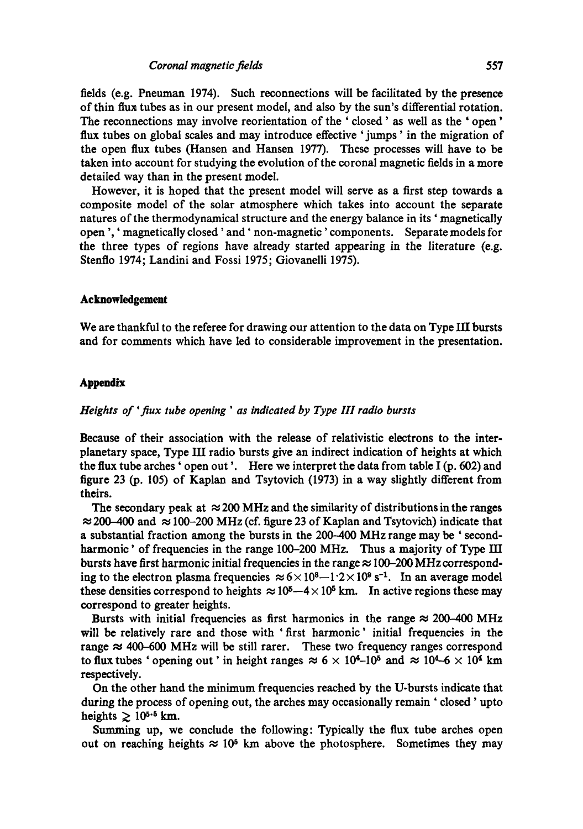fields (e.g. Pneuman 1974). Such reconnections will be facilitated by the presence of thin flux tubes as in our present model, and also by the sun's differential rotation. The reconnections may involve reorientation of the ' closed ' as well as the ' open' flux tubes on global scales and may introduce effective 'jumps' in the migration of the open flux tubes (Hansen and Hansen 1977). These processes will have to be taken into account for studying the evolution of the coronal magnetic fields in a more detailed way than in the present model.

However, it is hoped that the present model will serve as a first step towards a composite model of the solar atmosphere which takes into account the separate natures of the thermodynamical structure and the energy balance in its ' magnetically open ',' magnetically closed' and' non-magnetic' components. Separate models for the three types of regions have already started appearing in the literature (e.g. Stenflo 1974; Landini and Fossi 1975; Giovanelli 1975).

## **Acknowledgement**

We are thankful to the referee for drawing our attention to the data on Type HI bursts and for comments which have led to considerable improvement in the presentation.

# **Appendix**

## *Heights of 'flux tube opening ' as indicated by Type 1II radio bursts*

Because of their association with the release of relativistic electrons to the interplanetary space, Type III radio bursts give an indirect indication of heights at which the flux tube arches 'open out'. Here we interpret the data from table I (p. 602) and figure 23 (p. 105) of Kaplan and Tsytovich (1973) in a way slightly different from theirs.

The secondary peak at  $\approx$  200 MHz and the similarity of distributions in the ranges  $\approx$  200-400 and  $\approx$  100-200 MHz (cf. figure 23 of Kaplan and Tsytovich) indicate that a substantial fraction among the bursts in the 200–400 MHz range may be 'secondharmonic' of frequencies in the range 100-200 MHz. Thus a majority of Type III bursts have first harmonic initial frequencies in the range  $\approx$  100-200 MHz corresponding to the electron plasma frequencies  $\approx 6 \times 10^8 - 1.2 \times 10^9$  s<sup>-1</sup>. In an average model these densities correspond to heights  $\approx 10^5 - 4 \times 10^5$  km. In active regions these may correspond to greater heights.

Bursts with initial frequencies as first harmonics in the range  $\approx 200-400$  MHz will be relatively rare and those with 'first harmonic' initial frequencies in the range  $\approx$  400-600 MHz will be still rarer. These two frequency ranges correspond to flux tubes ' opening out' in height ranges  $\approx 6 \times 10^{4}$ -10<sup>5</sup> and  $\approx 10^{4}$ -6  $\times 10^{4}$  km respectively.

On the other hand the minimum frequencies reached by the U-bursts indicate that during the process of opening out, the arches may occasionally remain ' closed' upto heights  $\geq 10^{5.5}$  km.

Summing up, we conclude the following: Typically the flux tube arches open out on reaching heights  $\approx 10^5$  km above the photosphere. Sometimes they may